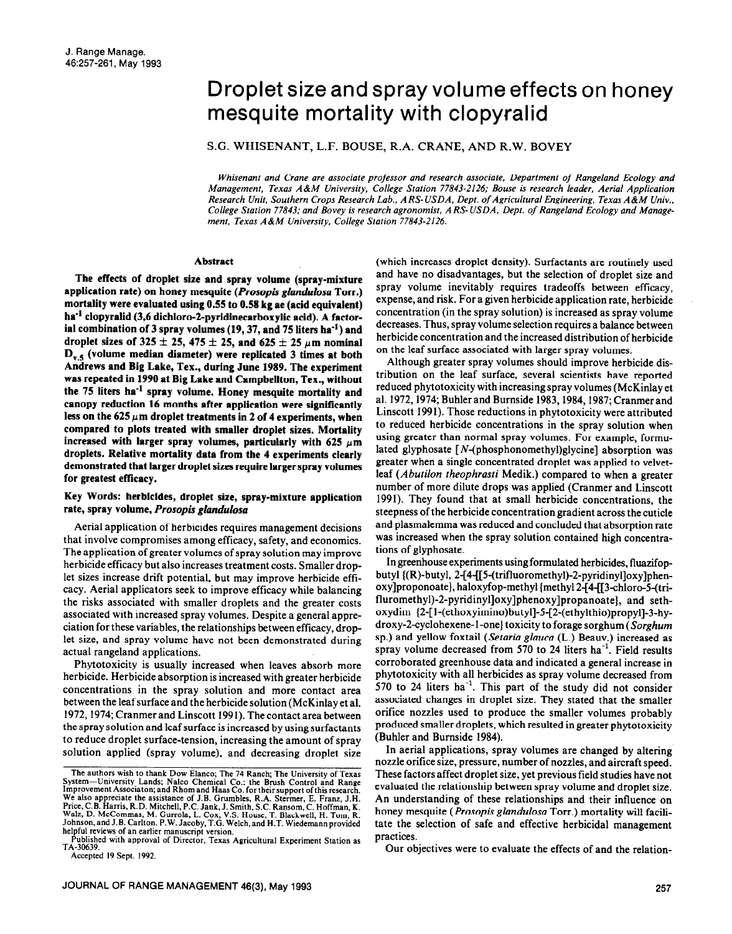# Droplet size and spray volume effects on honey mesquite mortality with clopyralid

S.G. WHISENANT, L.F. BOUSE, R.A. CRANE, AND R.W. BOVEY

*Whisenant and Crane are associate professor and research associate, Department of Rangeland Ecology and Management, Texas A&M University, College Station 77843-2126; Bouse is research leader, Aerial Application Research Unir. Southern Crops Research Lab., AR9USDA, Dept. of Agricultural Engineering, Texas A&M* Univ., *College Station 77843; and Bovey is research agronomist, A RS- USDA, Dept. of Rangeland Ecology and Management, Texas A&M University, College Station 77843-2126.* 

#### **Abstract**

**The effects of droplet size and spray volume (spray-mixture application rate) on honey mesquite** *(Prosopis glandulosa* **Torr.) mortality were evaluated using 0.55 to 0.58 kg ae (acid equivalent)**  ha<sup>-1</sup> clopyralid (3,6 dichloro-2-pyridinecarboxylic acid). A factor**ial combination of 3 spray volumes (19,37, and 75 liters ha-') and**  droplet sizes of  $325 \pm 25$ ,  $475 \pm 25$ , and  $625 \pm 25$   $\mu$ m nominal **D,, (volume median diameter) were replicated 3 times at both Andrews and Big Lake, Tex., during June 1989. The experiment was repeated in 1990 at Big Lake and Campbellton, Tex., without the 75 liters ha-' spray volume. Honey mesquite mortality and canopy reduction 16 months after application were significantly**  less on the  $625 \mu m$  droplet treatments in 2 of 4 experiments, when **compared to plots treated with smaller droplet sizes. Mortality**  increased with larger spray volumes, particularly with  $625 \mu m$ **droplets. Relative mortality data from the 4 experiments clearly demonstrated that larger droplet sizes require larger spray volumes for greatest efficacy.** 

# **Key Words: herbicides, droplet size, spray-mixture application rate, spray volume,** *Prosopis glandtdosa*

Aerial application of herbicides requires management decisions that involve compromises among efficacy, safety, and economics. The application of greater volumes of spray solution may improve herbicide efficacy but also increases treatment costs. Smaller droplet sizes increase drift potential, but may improve herbicide eflicacy. Aerial applicators seek to improve efficacy while balancing the risks associated with smaller droplets and the greater costs associated with increased spray volumes. Despite a general appreciation for these variables, the relationships between efficacy, droplet size, and spray volume have not been demonstrated during actual rangeland applications.

Phytotoxicity is usually increased when leaves absorb more herbicide. Herbicide absorption is increased with greater herbicide concentrations in the spray solution and more contact area between the leaf surface and the herbicide solution (McKinlay et al. 1972, 1974; Cranmer and Linscott 1991). The contact area between the spray solution and leaf surface is increased by using surfactants to reduce droplet surface-tension, increasing the amount of spray solution applied (spray volume), and decreasing droplet size

ublished with approval of Director, Texas Agricultural Experiment Station as TA-30639.

Accepted 19 Sept. 1992.

(which increases droplet density). Surfactants are routinely used and have no disadvantages, but the selection of droplet size and spray volume inevitably requires tradeoffs between efficacy, expense, and risk. For a given herbicide application rate, herbicide concentration (in the spray solution) is increased as spray volume decreases. Thus, spray volume selection requires a balance between herbicide concentration and the increased distribution of herbicide on the leaf surface associated with larger spray volumes.

Although greater spray volumes should improve herbicide distribution on the leaf surface, several scientists have reported reduced phytotoxicity with increasing spray volumes (McKinlay et al. 1972, 1974; Buhler and Burnside 1983, 1984, 1987; Cranmer and Linscott 1991). Those reductions in phytotoxicity were attributed to reduced herbicide concentrations in the spray solution when using greater than normal spray volumes. For example, formulated glyphosate [N-(phosphonomethyl)glycine] absorption was greater when a single concentrated droplet was applied to velvetleaf *(Abutilon theophrasti* Medik.) compared to when a greater number of more dilute drops was applied (Cranmer and Linscott 1991). They found that at small herbicide concentrations, the steepness of the herbicide concentration gradient across the cuticle and plasmalemma was reduced and concluded that absorption rate was increased when the spray solution contained high concentrations of glyphosate.

In greenhouse experiments using formulated herbicides, fluazifopbutyl {(R)-butyl, 2-[4-[[5-(trifluoromethyl)-2-pyridinyl]oxy]phenoxy]proponoate}, haloxyfop-methyl {methyl 2-[4-[[3-chloro-5-(trifluromethyl)-2-pyridinyl]oxy]phenoxy]propanoate}, and sethoxydim (2-[ l-(ethoxyimino)butyl]-5-[2-(ethylthio)propyl]-3-hydroxy-2-cyclohexene-I-one} toxicity to forage sorghum *(Sorghum*  sp.) and yellow foxtail *(Setaria gluucu* (L.) Beauv.) increased as spray volume decreased from 570 to 24 liters  $ha^{-1}$ . Field results corroborated greenhouse data and indicated a general increase in phytotoxicity with all herbicides as spray volume decreased from 570 to 24 liters  $ha^{-1}$ . This part of the study did not consider associated changes in droplet size. They stated that the smaller orifice nozzles used to produce the smaller volumes probably produced smaller droplets, which resulted in greater phytotoxicity (Buhler and Burnside 1984).

In aerial applications, spray volumes are changed by altering nozzle orifice size, pressure, number of nozzles, and aircraft speed. These factors affect droplet size, yet previous field studies have not evaluated the relationship between spray volume and droplet size. An understanding of these relationships and their influence on honey mesquite *(Prosopis glundulosu* Torr.) mortality will facilitate the selection of safe and effective herbicidal management practices.

Our objectives were to evaluate the effects of and the relation-

The authors wish to thank Dow Elanco; The 74 Ranch; The University of Texas System-University Lands; Nalco Chemical Co.; the Brush Control and Range Improvement Associaton; and Rhom and Haas Co. for **their** support of this research. We also appreciate the assistance of J.B. Grumbles, R.A. Stermer, E. Franz, J.H. Price, C.B. Harris, R.D. Mitchell, P.C. Jank, J. Smith, S.C. Ransom, C. Hoffman, K.<br>Walz, D. McCommas, M. Gurrola, L. Cox, V.S. House, T. Blackwell, H. Tom, R.<br>Johnson, and J.B. Carlton. P.W. Jacoby, T.G. Welch, and H.T. W helpful reviews of an earlier manuscript version.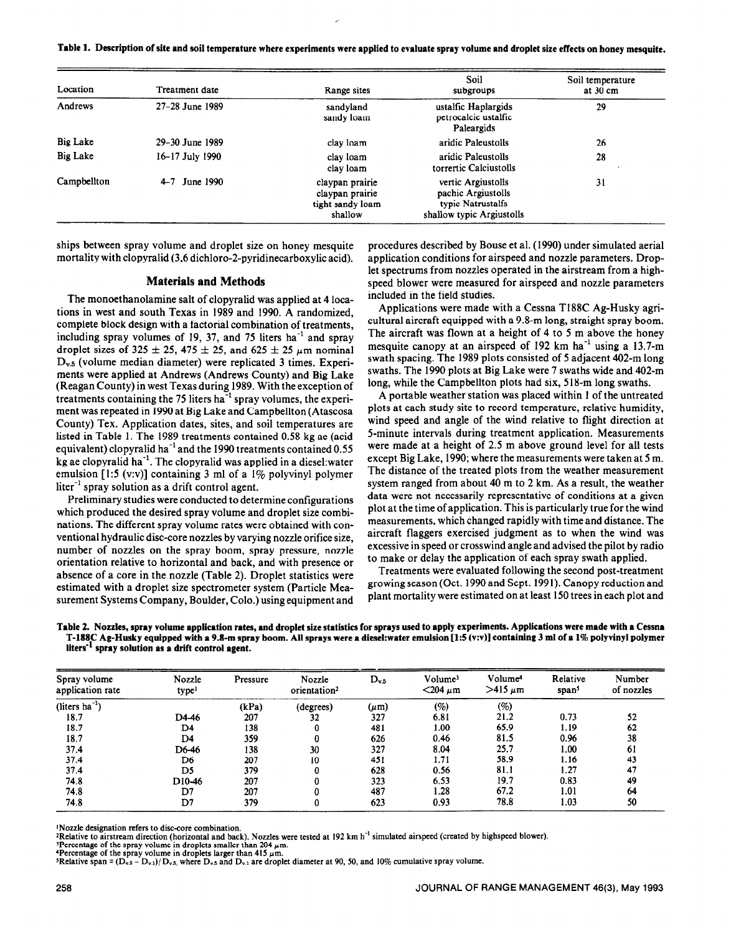**Table 1. Description of site and soil temperature where experiments were applied to evaluate spray volume and droplet size effects on honey mesquite.** 

| Location        | Treatment date    | Range sites                                                       | Soil<br>subgroups                                                                          | Soil temperature<br>at 30 cm |
|-----------------|-------------------|-------------------------------------------------------------------|--------------------------------------------------------------------------------------------|------------------------------|
| Andrews         | 27-28 June 1989   | sandyland<br>sandy loam                                           | ustalfic Haplargids<br>petrocalcic ustalfic<br>Paleargids                                  | 29                           |
| <b>Big Lake</b> | 29–30 June 1989   | clay loam                                                         | aridic Paleustolls                                                                         | 26                           |
| <b>Big Lake</b> | 16–17 July 1990   | clay loam<br>clay loam                                            | aridic Paleustolls<br>torrertic Calciustolls                                               | 28                           |
| Campbellton     | $4 - 7$ June 1990 | claypan prairie<br>claypan prairie<br>tight sandy loam<br>shallow | vertic Argiustolls<br>pachic Argiustolls<br>typic Natrustalfs<br>shallow typic Argiustolls | 31                           |

ships between spray volume and droplet size on honey mesquite mortality with clopyralid (3,6 dichloro-2-pyridinecarboxylic acid).

### **Materials and Methods**

The monoethanolamine salt of clopyralid was applied at 4 locations in west and south Texas in 1989 and 1990. A randomized, complete block design with a factorial combination of treatments, including spray volumes of 19, 37, and 75 liters ha<sup>-1</sup> and spray droplet sizes of 325  $\pm$  25, 475  $\pm$  25, and 625  $\pm$  25  $\mu$ m nominal Dv.5 (volume median diameter) were replicated 3 times. Experiments were applied at Andrews (Andrews County) and Big Lake (Reagan County) in west Texas during 1989. With the exception of treatments containing the 75 liters ha<sup>-1</sup> spray volumes, the experiment was repeated in 1990 at Big Lake and Campbellton (Atascosa County) Tex. Application dates, sites, and soil temperatures are listed in Table 1. The 1989 treatments contained 0.58 kg ae (acid equivalent) clopyralid ha<sup>-1</sup> and the 1990 treatments contained  $0.55$ kg ae clopyralid ha<sup>-1</sup>. The clopyralid was applied in a diesel:water emulsion  $[1:5 (v:v)]$  containing 3 ml of a 1% polyvinyl polymer  $\text{liter}^{-1}$  spray solution as a drift control agent.

Preliminary studies were conducted to determine configurations which produced the desired spray volume and droplet size combinations. The different spray volume rates were obtained with conventional hydraulic disc-core nozzles by varying nozzle orifice size, number of nozzles on the spray boom, spray pressure, nozzle orientation relative to horizontal and back, and with presence or absence of a core in the nozzle (Table 2). Droplet statistics were estimated with a droplet size spectrometer system (Particle Measurement Systems Company, Boulder, Colo.) using equipment and procedures described by Bouse et al. (1990) under simulated aerial application conditions for airspeed and nozzle parameters. Droplet spectrums from nozzles operated in the airstream from a highspeed blower were measured for airspeed and nozzle parameters included in the field studies.

Applications were made with a Cessna Tl88C Ag-Husky agricultural aircraft equipped with a 9.8-m long, straight spray boom. The aircraft was flown at a height of 4 to 5 m above the honey mesquite canopy at an airspeed of  $192 \text{ km } \text{ha}^{-1}$  using a  $13.7 \text{-m}$ swath spacing. The 1989 plots consisted of 5 adjacent 402-m long swaths. The 1990 plots at Big Lake were 7 swaths wide and 402-m long, while the Campbellton plots had six, 518-m long swaths.

A portable weather station was placed within 1 of the untreated plots at each study site to record temperature, relative humidity, wind speed and angle of the wind relative to flight direction at 5-minute intervals during treatment application. Measurements were made at a height of 2.5 m above ground level for all tests except Big Lake, 1990; where the measurements were taken at 5 m. The distance of the treated plots from the weather measurement system ranged from about 40 m to 2 km. As a result, the weather data were not necessarily representative of conditions at a given plot at the time of application. This is particularly true for the wind measurements, which changed rapidly with time and distance. The aircraft flaggers exercised judgment as to when the wind was excessive in speed or crosswind angle and advised the pilot by radio to make or delay the application of each spray swath applied.

Treatments were evaluated following the second post-treatment growing season (Oct. 1990 and Sept. 1991). Canopy reduction and plant mortality were estimated on at least 150 trees in each plot and

| Table 2. Nozzles, spray volume application rates, and droplet size statistics for sprays used to apply experiments. Applications were made with a Cessna |
|----------------------------------------------------------------------------------------------------------------------------------------------------------|
| T-188C Ag-Husky equipped with a 9.8-m spray boom. All sprays were a diesel:water emulsion [1:5 (v:v)] containing 3 ml of a 1% polyvinyl polymer          |
| liters <sup>-1</sup> spray solution as a drift control agent.                                                                                            |

| Spray volume<br>application rate | Nozzle<br>typel    | Pressure | Nozzle<br>orientation <sup>2</sup> | $D_{v,5}$ | Volume <sup>3</sup><br>$<$ 204 $\mu$ m | Volume <sup>4</sup><br>$>415 \mu m$ | Relative<br>span <sup>5</sup> | Number<br>of nozzles |
|----------------------------------|--------------------|----------|------------------------------------|-----------|----------------------------------------|-------------------------------------|-------------------------------|----------------------|
| (liters $ha^{-1}$ )              |                    | (kPa)    | (degrees)                          | $(\mu m)$ | (%)                                    | (%)                                 |                               |                      |
| 18.7                             | D4-46              | 207      | 32                                 | 327       | 6.81                                   | 21.2                                | 0.73                          | 52                   |
| 18.7                             | D4                 | 138      |                                    | 481       | 1.00                                   | 65.9                                | 1.19                          | 62                   |
| 18.7                             | D4                 | 359      | 0                                  | 626       | 0.46                                   | 81.5                                | 0.96                          | 38                   |
| 37.4                             | D6-46              | 138      | 30                                 | 327       | 8.04                                   | 25.7                                | 1.00                          | 61                   |
| 37.4                             | D6                 | 207      | 10                                 | 451       | 1.71                                   | 58.9                                | 1.16                          | 43                   |
| 37.4                             | D5                 | 379      | 0                                  | 628       | 0.56                                   | 81.1                                | 1.27                          | 47                   |
| 74.8                             | D <sub>10-46</sub> | 207      | 0                                  | 323       | 6.53                                   | 19.7                                | 0.83                          | 49                   |
| 74.8                             | D7                 | 207      |                                    | 487       | 1.28                                   | 67.2                                | 1.01                          | 64                   |
| 74.8                             | D7                 | 379      | 0                                  | 623       | 0.93                                   | 78.8                                | 1.03                          | 50                   |

~Nozzle designation refers to disc-core combination.

<sup>2</sup>Relative to airstream direction (horizontal and back). Nozzles were tested at 192 km h<sup>-1</sup> simulated airspeed (created by highspeed blower).

<sup>3</sup>Percentage of the spray volume in droplets smaller than 204  $\mu$ m.<br><sup>4</sup>Percentage of the spray volume in droplets larger than 415  $\mu$ m.

'Relative span =  $(D_{v.9} - D_{v.1})/D_{v.5}$ , where  $D_{v.5}$  and  $D_{v.1}$  are droplet diameter at 90, 50, and 10% cumulative spray volume.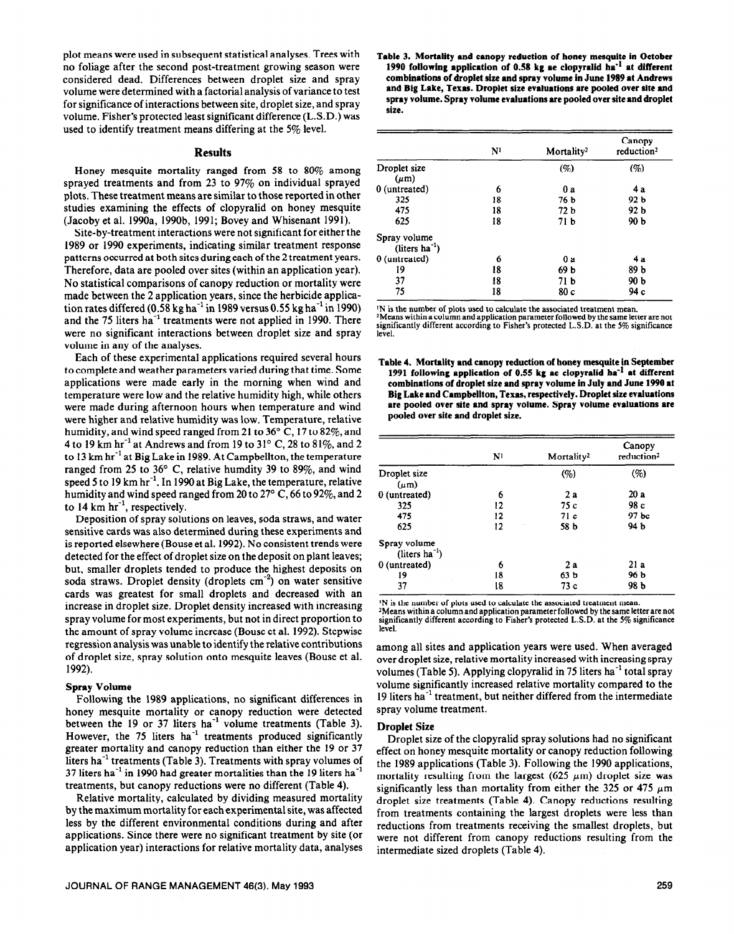plot means were used in subsequent statistical analyses. Trees with no foliage after the second post-treatment growing season were considered dead. Differences between droplet size and spray volume were determined with a factorial analysis of variance to test for significance of interactions between site, droplet size, and spray volume. Fisher's protected least significant difference (L.S.D.) was used to identify treatment means differing at the 5% level.

### **Results**

Honey mesquite mortality ranged from 58 to 80% among sprayed treatments and from 23 to 97% on individual sprayed plots. These treatment means are similar to those reported in other studies examining the effects of clopyralid on honey mesquite (Jacoby et al. 1990a, 1990b, 1991; Bovey and Whisenant 1991).

Site-by-treatment interactions were not significant for either the 1989 or 1990 experiments, indicating similar treatment response patterns occurred at both sites during each of the 2 treatment years. Therefore, data are pooled over sites (within an application year). No statistical comparisons of canopy reduction or mortality were made between the 2 application years, since the herbicide application rates differed  $(0.58 \text{ kg ha}^{-1}$  in 1989 versus 0.55 kg ha<sup>-1</sup> in 1990) and the 75 liters ha<sup>-1</sup> treatments were not applied in 1990. There were no significant interactions between droplet size and spray volume in any of the analyses.

Each of these experimental applications required several hours to complete and weather parameters varied during that time. Some applications were made early in the morning when wind and temperature were low and the relative humidity high, while others were made during afternoon hours when temperature and wind were higher and relative humidity was low. Temperature, relative humidity, and wind speed ranged from 21 to 36° C, 17 to 82%, and 4 to 19 km hr<sup>-1</sup> at Andrews and from 19 to 31 $^{\circ}$  C, 28 to 81%, and 2 to 13 km hr<sup>-1</sup> at Big Lake in 1989. At Campbellton, the temperature ranged from 25 to 36' C, relative humdity 39 to 89%, and wind speed 5 to 19 km hr<sup>-1</sup>. In 1990 at Big Lake, the temperature, relative humidity and wind speed ranged from 20 to 27 $\degree$  C, 66 to 92 $\%$ , and 2 to 14 km  $hr^{-1}$ , respectively.

Deposition of spray solutions on leaves, soda straws, and water sensitive cards was also determined during these experiments and is reported elsewhere (Bouse et al. 1992). No consistent trends were detected for the effect of droplet size on the deposit on plant leaves; but, smaller droplets tended to produce the highest deposits on soda straws. Droplet density (droplets  $cm^{-2}$ ) on water sensitive cards was greatest for small droplets and decreased with an increase in droplet size. Droplet density increased with increasing spray volume for most experiments, but not in direct proportion to the amount of spray volume increase (Bouse et al. 1992). Stepwise regression analysis was unable to identify the relative contributions of droplet size, spray solution onto mesquite leaves (Bouse et al. 1992).

### **Spray Volume**

Following the 1989 applications, no significant differences in honey mesquite mortality or canopy reduction were detected between the 19 or 37 liters  $ha^{-1}$  volume treatments (Table 3). However, the 75 liters  $ha^{-1}$  treatments produced significantly greater mortality and canopy reduction than either the 19 or 37 liters ha $^{-1}$  treatments (Table 3). Treatments with spray volumes of 37 liters ha<sup>-1</sup> in 1990 had greater mortalities than the 19 liters ha<sup>-1</sup> treatments, but canopy reductions were no different (Table 4).

Relative mortality, calculated by dividing measured mortality by the maximum mortality for each experimental site, was affected less by the different environmental conditions during and after applications. Since there were no significant treatment by site (or application year) interactions for relative mortality data, analyses

**Table 3. Mortality and canopy reduction of honey mesquite in October**  1990 following application of 0.58 kg ae clopyralid ha<sup>-1</sup> at different **combinations of droplet size and spray volume in June 1989 at Andrews and Big Lake, Texas. Droplet size evaluations are pooled over site and spray volume. Spray volume evaluations are pooled over site and droplet size.** 

|                              | $\mathbf{N}^{\mathbf{1}}$ | Mortality <sup>2</sup> | Canopy<br>reduction <sup>2</sup> |
|------------------------------|---------------------------|------------------------|----------------------------------|
| Droplet size                 |                           | (%)                    | (%)                              |
| $(\mu m)$                    |                           |                        |                                  |
| 0 (untreated)                | 6                         | 0a                     | 4 a                              |
| 325                          | 18                        | 76 b                   | 92 b                             |
| 475                          | 18                        | 72 b                   | 92 b                             |
| 625                          | 18                        | 71 <sub>b</sub>        | 90 b                             |
| Spray volume                 |                           |                        |                                  |
| $(liters$ ha <sup>-1</sup> ) |                           |                        |                                  |
| 0 (untreated)                | 6                         | 0a                     | 4 a                              |
| 19                           | 18                        | 69 b                   | 89 b                             |
| 37                           | 18                        | 71 <sub>b</sub>        | 90 b                             |
| 75                           | 18                        | 80c                    | 94 с                             |

N is the number of plots used to calculate the associated treatment mean. \*Means within a column and application parameter followed by the same letter are not significantly different according to Fisher's protected LAD. at the 5% significance level.

**Table 4. Mortality and canopy reduction of honey mesquite in September**  1991 following application of 0.55 kg ae clopyralid ha<sup>-1</sup> at different **combinations of droplet size and spray volume in July and June 1990 at Big Lake and Campbeiiton, Texas, respectively. Droplet size evaiuations are pooled over site and spray volume. Spray volume evaluations are pooled over site and droplet size.** 

|                                 | N <sup>1</sup> | Mortality <sup>2</sup> | Canopy<br>reduction <sup>2</sup> |
|---------------------------------|----------------|------------------------|----------------------------------|
| Droplet size                    |                | (%)                    | (%)                              |
| $(\mu m)$                       |                |                        |                                  |
| 0 (untreated)                   | 6              | 2a                     | 20 a                             |
| 325                             | 12             | 75 c                   | 98 с                             |
| 475                             | 12             | 71c                    | 97 bc                            |
| 625                             | 12             | 58 b                   | 94 b                             |
| Spray volume<br>$(liters ha-1)$ |                |                        |                                  |
| 0 (untreated)                   | 6              | 2a                     | 21 a                             |
| 19                              | 18             | 63 <sub>b</sub>        | 96 b                             |
| 37                              | 18             | 73c                    | 98 b                             |

IN is the number of plots used to calculate the associated treatment mean. 2Means within a column and application **parameter followed** by the same letter **are** not significantly different according to Fisher's protected **L.S.D. at the 5%** significance level.

among all sites and application years were used. When averaged over droplet size, relative mortality increased with increasing spray volumes (Table 5). Applying clopyralid in 75 liters ha<sup>-1</sup> total sprav volume significantly increased relative mortality compared to the 19 liters ha<sup>-1</sup> treatment, but neither differed from the intermediate spray volume treatment.

#### **Droplet Size**

Droplet size of the clopyralid spray solutions had no significant effect on honey mesquite mortality or canopy reduction following the 1989 applications (Table 3). Following the 1990 applications, mortality resulting from the largest (625  $\mu$ m) droplet size was significantly less than mortality from either the 325 or 475  $\mu$ m droplet size treatments (Table 4). Canopy reductions resulting from treatments containing the largest droplets were less than reductions from treatments receiving the smallest droplets, but were not different from canopy reductions resulting from the intermediate sized droplets (Table 4).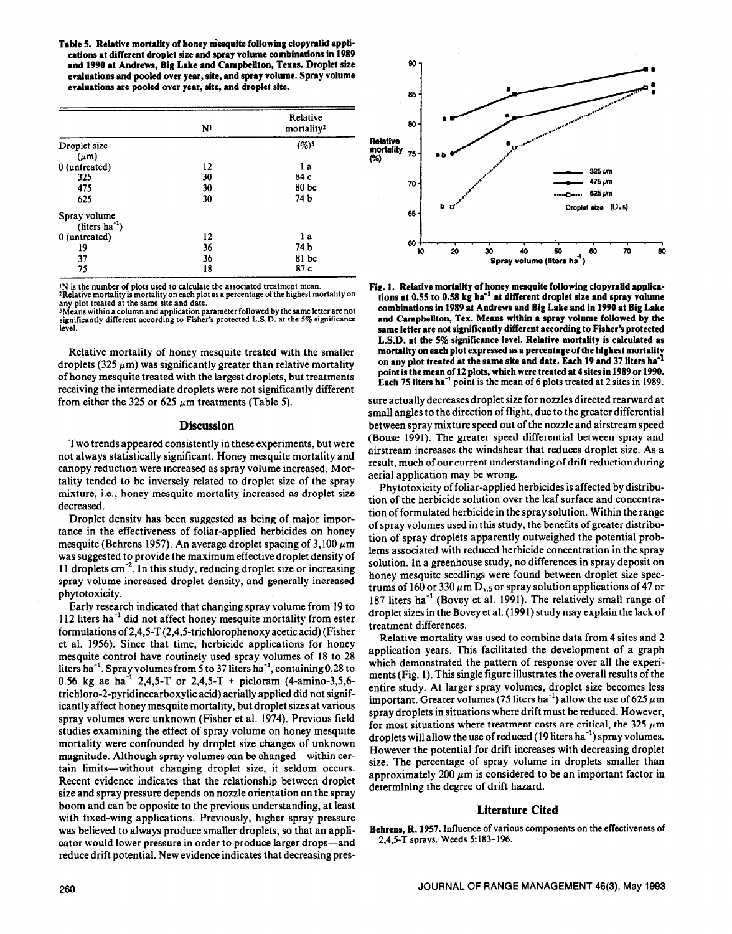Table 5. Relative mortality of honey mesquite following clopyralid appli**cations at different droplet size and spray volume combinations in 1989 and 1990 at Andrews, Big Lake and Campbellton, Texas. Droplet size evaluations and pooled over year, site, and spray volume. Spray volume evaluations are pooled over year, site, and droplet site.** 

|                 | N <sup>1</sup> | Relative<br>mortality <sup>2</sup> |
|-----------------|----------------|------------------------------------|
| Droplet size    |                | $(96)^3$                           |
| $(\mu m)$       |                |                                    |
| 0 (untreated)   | 12             | l a                                |
| 325             | 30             | 84 c                               |
| 475             | 30             | 80 <sub>bc</sub>                   |
| 625             | 30             | 74 b                               |
| Spray volume    |                |                                    |
| $(liters ha-1)$ |                |                                    |
| 0 (untreated)   | 12             | l a                                |
| 19              | 36             | 74 b                               |
| 37              | 36             | $81$ bc                            |
| 75              | 18             | 87c                                |

If is the number of plots used to calculate the associated treatment mean. 'Relative mortality is mortality on each plot as a percentage of the highest mortality on any plot treated at the same site and date.

<sup>3</sup>Means within a column and application parameter followed by the same letter are not significantly different according to Fisher's protected L.S.D. at the 5% significance

Relative mortality of honey mesquite treated with the smaller droplets  $(325 \mu m)$  was significantly greater than relative mortality of honey mesquite treated with the largest droplets, but treatments receiving the intermediate droplets were not significantly different from either the 325 or 625  $\mu$ m treatments (Table 5).

#### **Discussion**

Two trends appeared consistently in these experiments, but were not always statistically significant. Honey mesquite mortality and canopy reduction were increased as spray volume increased. Mortality tended to be inversely related to droplet size of the spray mixture, i.e., honey mesquite mortality increased as droplet size decreased.

Droplet density has been suggested as being of major importance in the effectiveness of foliar-applied herbicides on honey mesquite (Behrens 1957). An average droplet spacing of  $3,100 \ \mu m$ was suggested to provide the maximum effective droplet density of 11 droplets cm<sup>-2</sup>. In this study, reducing droplet size or increasing spray volume increased droplet density, and generally increased phytotoxicity.

Early research indicated that changing spray volume from 19 to  $112$  liters ha<sup>-1</sup> did not affect honey mesquite mortality from ester formulations of 2,4,5-T (2,4,5-trichlorophenoxy acetic acid) (Fisher et al. 1956). Since that time, herbicide applications for honey mesquite control have routinely used spray volumes of 18 to 28 liters ha<sup>-1</sup>. Spray volumes from 5 to 37 liters ha<sup>-1</sup>, containing 0.28 to 0.56 kg ae ha<sup>-1</sup> 2,4,5-T or 2,4,5-T + picloram (4-amino-3,5,6trichloro-2-pyridinecarboxylic acid) aerially applied did not significantly affect honey mesquite mortality, but droplet sizes at various spray volumes were unknown (Fisher et al. 1974). Previous field studies examining the effect of spray volume on honey mesquite mortality were confounded by droplet size changes of unknown magnitude. Although spray volumes can be changed—within certain limits-without changing droplet size, it seldom occurs. Recent evidence indicates that the relationship between droplet size and spray pressure depends on nozzle orientation on the spray boom and can be opposite to the previous understanding, at least with fixed-wing applications. Previously, higher spray pressure was believed to always produce smaller droplets, so that an appli-<br>cator would lower pressure in order to produce larger drops—and<br>2.4.5-T sprays. Weeds 5:183-196. cator would lower pressure in order to produce larger drops-and reduce drift potential. New evidence indicates that decreasing pres-



**Fig. 1. Relative mortality of honey mesquite following clopyralid applications** at 0.55 to **0.58 kg hi'** at **different droplet size and spray volume combinations in 1989 at Andrews and Big Lake and in 1990 at Big Lake and Campbellton, Tex. Means within a** spray **volume followed by the same letter are not significantly different according to Fisher's protected L.S.D. at the 5% significance level. Relative mortality is calculated as mortality on each plot expressed as a percentage of the highest mortalit**  on any plot treated at the same site and date. Each 19 and 37 liters ha<sup>+</sup> **point is the mean of 12 plots, which were treated at 4 sites in 1989 or 1990. Each 75 liters ha-'** point is the mean of 6 plots treated at 2 sites in 1989.

sure actually decreases droplet size for nozzles directed rearward at small angles to the direction of flight, due to the greater differential between spray mixture speed out of the nozzle and airstream speed (Bouse 1991). The greater speed differential between spray and airstream increases the windshear that reduces droplet size. As a result, much of our current understanding of drift reduction during aerial application may be wrong.

Phytotoxicity of foliar-applied herbicides is affected by distribution of the herbicide solution over the leaf surface and concentration of formulated herbicide in the spray solution. Within the range of spray volumes used in this study, the benefits of greater distribution of spray droplets apparently outweighed the potential problems associated with reduced herbicide concentration in the spray solution. In a greenhouse study, no differences in spray deposit on honey mesquite seedlings were found between droplet size spectrums of 160 or 330  $\mu$ m D<sub>v.5</sub> or spray solution applications of 47 or 187 liters ha<sup>-1</sup> (Bovey et al. 1991). The relatively small range of droplet sizes in the Bovey et al. (1991) study may explain the lack of treatment differences.

Relative mortality was used to combine data from 4 sites and 2 application years. This facilitated the development of a graph which demonstrated the pattern of response over all the experiments (Fig. 1). This single figure illustrates the overall results of the entire study. At larger spray volumes, droplet size becomes less important. Greater volumes (75 liters ha<sup>-1</sup>) allow the use of 625  $\mu$ m spray droplets in situations where drift must be reduced. However, for most situations where treatment costs are critical, the 325  $\mu$ m droplets will allow the use of reduced  $(19$  liters ha<sup>-1</sup>) spray volumes. However the potential for drift increases with decreasing droplet size. The percentage of spray volume in droplets smaller than approximately 200  $\mu$ m is considered to be an important factor in determining the degree of drift hazard.

## **Literature Cited**